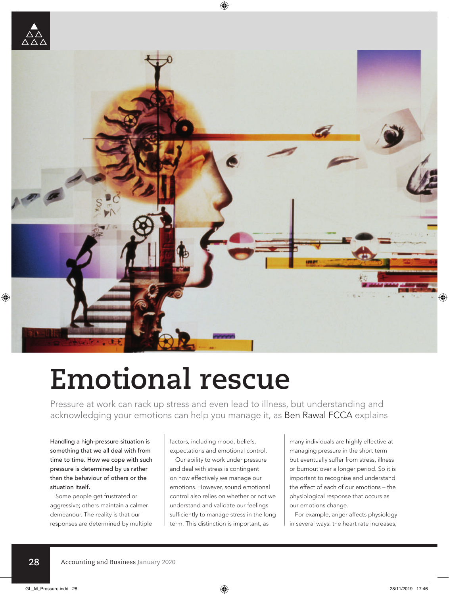



## **Emotional rescue**

Pressure at work can rack up stress and even lead to illness, but understanding and acknowledging your emotions can help you manage it, as Ben Rawal FCCA explains

Handling a high-pressure situation is something that we all deal with from time to time. How we cope with such pressure is determined by us rather than the behaviour of others or the situation itself.

Some people get frustrated or aggressive; others maintain a calmer demeanour. The reality is that our responses are determined by multiple factors, including mood, beliefs, expectations and emotional control.

Our ability to work under pressure and deal with stress is contingent on how effectively we manage our emotions. However, sound emotional control also relies on whether or not we understand and validate our feelings sufficiently to manage stress in the long term. This distinction is important, as

many individuals are highly effective at managing pressure in the short term but eventually suffer from stress, illness or burnout over a longer period. So it is important to recognise and understand the effect of each of our emotions – the physiological response that occurs as our emotions change.

For example, anger affects physiology in several ways: the heart rate increases,